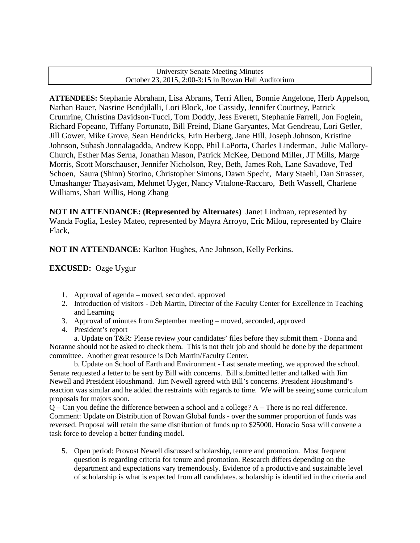#### University Senate Meeting Minutes October 23, 2015, 2:00-3:15 in Rowan Hall Auditorium

**ATTENDEES:** Stephanie Abraham, Lisa Abrams, Terri Allen, Bonnie Angelone, Herb Appelson, Nathan Bauer, Nasrine Bendjilalli, Lori Block, Joe Cassidy, Jennifer Courtney, Patrick Crumrine, Christina Davidson-Tucci, Tom Doddy, Jess Everett, Stephanie Farrell, Jon Foglein, Richard Fopeano, Tiffany Fortunato, Bill Freind, Diane Garyantes, Mat Gendreau, Lori Getler, Jill Gower, Mike Grove, Sean Hendricks, Erin Herberg, Jane Hill, Joseph Johnson, Kristine Johnson, Subash Jonnalagadda, Andrew Kopp, Phil LaPorta, Charles Linderman, Julie Mallory-Church, Esther Mas Serna, Jonathan Mason, Patrick McKee, Demond Miller, JT Mills, Marge Morris, Scott Morschauser, Jennifer Nicholson, Rey, Beth, James Roh, Lane Savadove, Ted Schoen, Saura (Shinn) Storino, Christopher Simons, Dawn Specht, Mary Staehl, Dan Strasser, Umashanger Thayasivam, Mehmet Uyger, Nancy Vitalone-Raccaro, Beth Wassell, Charlene Williams, Shari Willis, Hong Zhang

**NOT IN ATTENDANCE: (Represented by Alternates)** Janet Lindman, represented by Wanda Foglia, Lesley Mateo, represented by Mayra Arroyo, Eric Milou, represented by Claire Flack,

## **NOT IN ATTENDANCE:** Karlton Hughes, Ane Johnson, Kelly Perkins.

**EXCUSED:** Ozge Uygur

- 1. Approval of agenda moved, seconded, approved
- 2. Introduction of visitors Deb Martin, Director of the Faculty Center for Excellence in Teaching and Learning
- 3. Approval of minutes from September meeting moved, seconded, approved
- 4. President's report

a. Update on T&R: Please review your candidates' files before they submit them - Donna and Noranne should not be asked to check them. This is not their job and should be done by the department committee. Another great resource is Deb Martin/Faculty Center.

b. Update on School of Earth and Environment - Last senate meeting, we approved the school. Senate requested a letter to be sent by Bill with concerns. Bill submitted letter and talked with Jim Newell and President Houshmand. Jim Newell agreed with Bill's concerns. President Houshmand's reaction was similar and he added the restraints with regards to time. We will be seeing some curriculum proposals for majors soon.

Q – Can you define the difference between a school and a college? A – There is no real difference. Comment: Update on Distribution of Rowan Global funds - over the summer proportion of funds was reversed. Proposal will retain the same distribution of funds up to \$25000. Horacio Sosa will convene a task force to develop a better funding model.

<span id="page-0-0"></span>5. Open period: Provost Newell discussed scholarship, tenure and promotion. Most frequent question is regarding criteria for tenure and promotion. Research differs depending on the department and expectations vary tremendously. Evidence of a productive and sustainable level of scholarship is what is expected from all candidates. scholarship is identified in the criteria and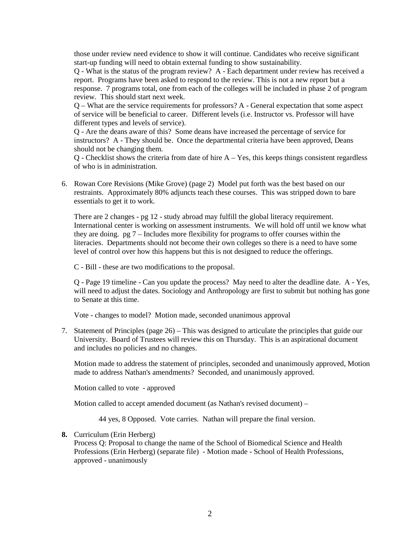those under review need evidence to show it will continue. Candidates who receive significant start-up funding will need to obtain external funding to show sustainability.

Q - What is the status of the program review? A - Each department under review has received a report. Programs have been asked to respond to the review. This is not a new report but a response. 7 programs total, one from each of the colleges will be included in phase 2 of program review. This should start next week.

Q – What are the service requirements for professors? A - General expectation that some aspect of service will be beneficial to career. Different levels (i.e. Instructor vs. Professor will have different types and levels of service).

Q - Are the deans aware of this? Some deans have increased the percentage of service for instructors? A - They should be. Once the departmental criteria have been approved, Deans should not be changing them.

Q - Checklist shows the criteria from date of hire A – Yes, this keeps things consistent regardless of who is in administration.

6. Rowan Core Revisions (Mike Grove) (page 2) Model put forth was the best based on our restraints. Approximately 80% adjuncts teach these courses. This was stripped down to bare essentials to get it to work.

There are 2 changes - pg 12 - study abroad may fulfill the global literacy requirement. International center is working on assessment instruments. We will hold off until we know what they are doing. pg 7 – Includes more flexibility for programs to offer courses within the literacies. Departments should not become their own colleges so there is a need to have some level of control over how this happens but this is not designed to reduce the offerings.

C - Bill - these are two modifications to the proposal.

Q - Page 19 timeline - Can you update the process? May need to alter the deadline date. A - Yes, will need to adjust the dates. Sociology and Anthropology are first to submit but nothing has gone to Senate at this time.

Vote - changes to model? Motion made, seconded unanimous approval

7. Statement of Principles (page 26) – This was designed to articulate the principles that guide our University. Board of Trustees will review this on Thursday. This is an aspirational document and includes no policies and no changes.

Motion made to address the statement of principles, seconded and unanimously approved, Motion made to address Nathan's amendments? Seconded, and unanimously approved.

Motion called to vote - approved

Motion called to accept amended document (as Nathan's revised document) –

44 yes, 8 Opposed. Vote carries. Nathan will prepare the final version.

#### **8.** Curriculum (Erin Herberg)

Process Q: Proposal to change the name of the School of Biomedical Science and Health Professions (Erin Herberg) (separate file) - Motion made - School of Health Professions, approved - unanimously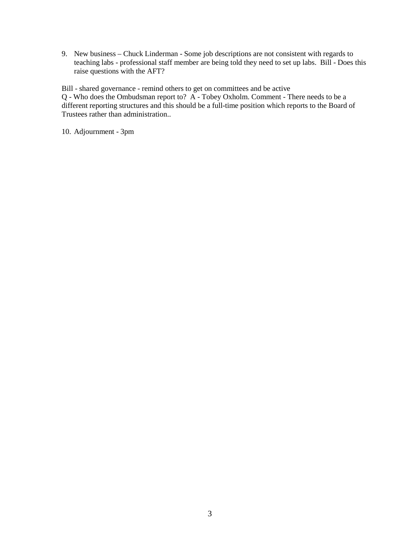9. New business – Chuck Linderman - Some job descriptions are not consistent with regards to teaching labs - professional staff member are being told they need to set up labs. Bill - Does this raise questions with the AFT?

Bill - shared governance - remind others to get on committees and be active Q - Who does the Ombudsman report to? A - Tobey Oxholm. Comment - There needs to be a different reporting structures and this should be a full-time position which reports to the Board of Trustees rather than administration..

10. Adjournment - 3pm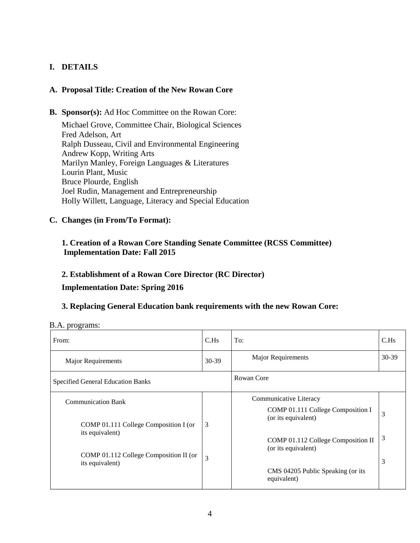## **I. DETAILS**

## **A. Proposal Title: Creation of the New Rowan Core**

**B. Sponsor(s):** Ad Hoc Committee on the Rowan Core:

Michael Grove, Committee Chair, Biological Sciences Fred Adelson, Art Ralph Dusseau, Civil and Environmental Engineering Andrew Kopp, Writing Arts Marilyn Manley, Foreign Languages & Literatures Lourin Plant, Music Bruce Plourde, English Joel Rudin, Management and Entrepreneurship Holly Willett, Language, Literacy and Special Education

**C. Changes (in From/To Format):**

## **1. Creation of a Rowan Core Standing Senate Committee (RCSS Committee) Implementation Date: Fall 2015**

## **2. Establishment of a Rowan Core Director (RC Director)**

### **Implementation Date: Spring 2016**

## **3. Replacing General Education bank requirements with the new Rowan Core:**

|  | B.A. programs: |
|--|----------------|
|--|----------------|

| From:                                                                                                                                              | C.Hs   | To:                                                                                                                                                                                                 | C.Hs        |
|----------------------------------------------------------------------------------------------------------------------------------------------------|--------|-----------------------------------------------------------------------------------------------------------------------------------------------------------------------------------------------------|-------------|
| <b>Major Requirements</b>                                                                                                                          | 30-39  | <b>Major Requirements</b>                                                                                                                                                                           | $30-39$     |
| Specified General Education Banks                                                                                                                  |        | Rowan Core                                                                                                                                                                                          |             |
| <b>Communication Bank</b><br>COMP 01.111 College Composition I (or<br>its equivalent)<br>COMP 01.112 College Composition II (or<br>its equivalent) | 3<br>3 | Communicative Literacy<br>COMP 01.111 College Composition I<br>(or its equivalent)<br>COMP 01.112 College Composition II<br>(or its equivalent)<br>CMS 04205 Public Speaking (or its<br>equivalent) | 3<br>3<br>3 |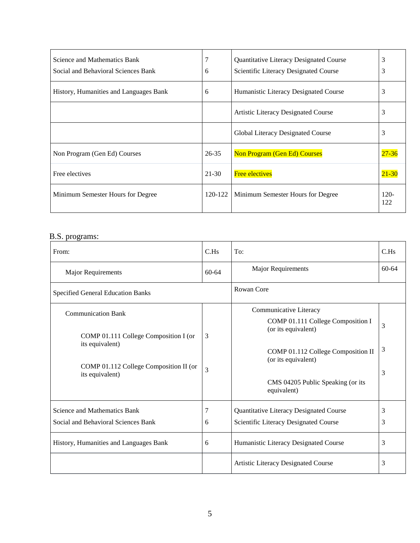| Science and Mathematics Bank<br>Social and Behavioral Sciences Bank | 7<br>6    | Quantitative Literacy Designated Course<br>Scientific Literacy Designated Course | 3<br>3         |
|---------------------------------------------------------------------|-----------|----------------------------------------------------------------------------------|----------------|
| History, Humanities and Languages Bank                              | 6         | Humanistic Literacy Designated Course                                            | 3              |
|                                                                     |           | Artistic Literacy Designated Course                                              | 3              |
|                                                                     |           | Global Literacy Designated Course                                                | 3              |
| Non Program (Gen Ed) Courses                                        | $26 - 35$ | <b>Non Program (Gen Ed) Courses</b>                                              | $27 - 36$      |
| Free electives                                                      | $21 - 30$ | <b>Free electives</b>                                                            | $21 - 30$      |
| Minimum Semester Hours for Degree                                   | 120-122   | Minimum Semester Hours for Degree                                                | $120 -$<br>122 |

## B.S. programs:

| From:                                                                                                                                              | C.Hs      | To:                                                                                                                                                                                                 | C.Hs        |
|----------------------------------------------------------------------------------------------------------------------------------------------------|-----------|-----------------------------------------------------------------------------------------------------------------------------------------------------------------------------------------------------|-------------|
| Major Requirements                                                                                                                                 | $60 - 64$ | <b>Major Requirements</b>                                                                                                                                                                           | $60 - 64$   |
| <b>Specified General Education Banks</b>                                                                                                           |           | Rowan Core                                                                                                                                                                                          |             |
| <b>Communication Bank</b><br>COMP 01.111 College Composition I (or<br>its equivalent)<br>COMP 01.112 College Composition II (or<br>its equivalent) | 3<br>3    | Communicative Literacy<br>COMP 01.111 College Composition I<br>(or its equivalent)<br>COMP 01.112 College Composition II<br>(or its equivalent)<br>CMS 04205 Public Speaking (or its<br>equivalent) | 3<br>3<br>3 |
| Science and Mathematics Bank<br>Social and Behavioral Sciences Bank<br>History, Humanities and Languages Bank                                      | 6<br>6    | Quantitative Literacy Designated Course<br>Scientific Literacy Designated Course<br>Humanistic Literacy Designated Course                                                                           | 3<br>3<br>3 |
|                                                                                                                                                    |           | Artistic Literacy Designated Course                                                                                                                                                                 | 3           |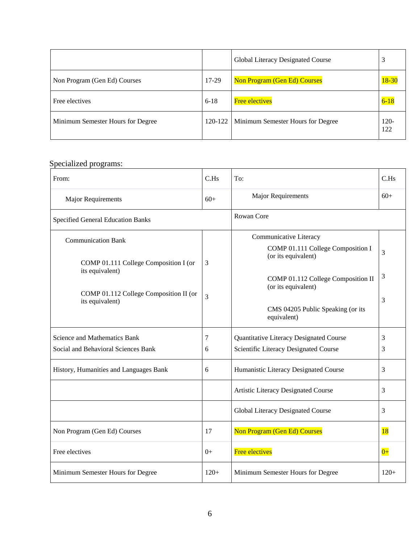|                                   |           | Global Literacy Designated Course   | 3              |
|-----------------------------------|-----------|-------------------------------------|----------------|
| Non Program (Gen Ed) Courses      | 17-29     | <b>Non Program (Gen Ed) Courses</b> | $18 - 30$      |
| Free electives                    | $6-18$    | <b>Free electives</b>               | $6-18$         |
| Minimum Semester Hours for Degree | $120-122$ | Minimum Semester Hours for Degree   | $120 -$<br>122 |

# Specialized programs:

| From:                                                                                                                                              | C.Hs   | To:                                                                                                                                                                                                 | C.Hs        |
|----------------------------------------------------------------------------------------------------------------------------------------------------|--------|-----------------------------------------------------------------------------------------------------------------------------------------------------------------------------------------------------|-------------|
| Major Requirements                                                                                                                                 | $60+$  | <b>Major Requirements</b>                                                                                                                                                                           | $60+$       |
| <b>Specified General Education Banks</b>                                                                                                           |        | Rowan Core                                                                                                                                                                                          |             |
| <b>Communication Bank</b><br>COMP 01.111 College Composition I (or<br>its equivalent)<br>COMP 01.112 College Composition II (or<br>its equivalent) | 3<br>3 | Communicative Literacy<br>COMP 01.111 College Composition I<br>(or its equivalent)<br>COMP 01.112 College Composition II<br>(or its equivalent)<br>CMS 04205 Public Speaking (or its<br>equivalent) | 3<br>3<br>3 |
| Science and Mathematics Bank<br>Social and Behavioral Sciences Bank                                                                                | 7<br>6 | Quantitative Literacy Designated Course<br>Scientific Literacy Designated Course                                                                                                                    | 3<br>3      |
| History, Humanities and Languages Bank                                                                                                             | 6      | Humanistic Literacy Designated Course                                                                                                                                                               | 3           |
|                                                                                                                                                    |        | Artistic Literacy Designated Course                                                                                                                                                                 | 3           |
|                                                                                                                                                    |        | Global Literacy Designated Course                                                                                                                                                                   | 3           |
| Non Program (Gen Ed) Courses                                                                                                                       | 17     | <b>Non Program (Gen Ed) Courses</b>                                                                                                                                                                 | 18          |
| Free electives                                                                                                                                     | $0+$   | <b>Free electives</b>                                                                                                                                                                               | $0+$        |
| Minimum Semester Hours for Degree                                                                                                                  | $120+$ | Minimum Semester Hours for Degree                                                                                                                                                                   | $120+$      |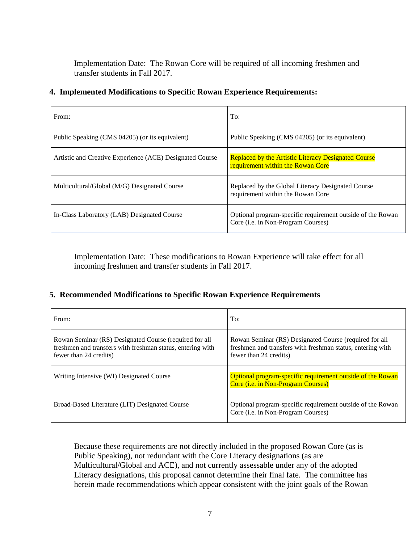Implementation Date: The Rowan Core will be required of all incoming freshmen and transfer students in Fall 2017.

| From:                                                    | To:                                                                                                      |
|----------------------------------------------------------|----------------------------------------------------------------------------------------------------------|
| Public Speaking (CMS 04205) (or its equivalent)          | Public Speaking (CMS 04205) (or its equivalent)                                                          |
| Artistic and Creative Experience (ACE) Designated Course | Replaced by the Artistic Literacy Designated Course<br>requirement within the Rowan Core                 |
| Multicultural/Global (M/G) Designated Course             | Replaced by the Global Literacy Designated Course<br>requirement within the Rowan Core                   |
| In-Class Laboratory (LAB) Designated Course              | Optional program-specific requirement outside of the Rowan<br>Core ( <i>i.e.</i> in Non-Program Courses) |

## **4. Implemented Modifications to Specific Rowan Experience Requirements:**

Implementation Date: These modifications to Rowan Experience will take effect for all incoming freshmen and transfer students in Fall 2017.

## **5. Recommended Modifications to Specific Rowan Experience Requirements**

| From:                                                                                                                                          | To:                                                                                                                                            |
|------------------------------------------------------------------------------------------------------------------------------------------------|------------------------------------------------------------------------------------------------------------------------------------------------|
| Rowan Seminar (RS) Designated Course (required for all<br>freshmen and transfers with freshman status, entering with<br>fewer than 24 credits) | Rowan Seminar (RS) Designated Course (required for all<br>freshmen and transfers with freshman status, entering with<br>fewer than 24 credits) |
| Writing Intensive (WI) Designated Course                                                                                                       | Optional program-specific requirement outside of the Rowan<br>Core ( <i>i.e.</i> in Non-Program Courses)                                       |
| Broad-Based Literature (LIT) Designated Course                                                                                                 | Optional program-specific requirement outside of the Rowan<br>Core (i.e. in Non-Program Courses)                                               |

Because these requirements are not directly included in the proposed Rowan Core (as is Public Speaking), not redundant with the Core Literacy designations (as are Multicultural/Global and ACE), and not currently assessable under any of the adopted Literacy designations, this proposal cannot determine their final fate. The committee has herein made recommendations which appear consistent with the joint goals of the Rowan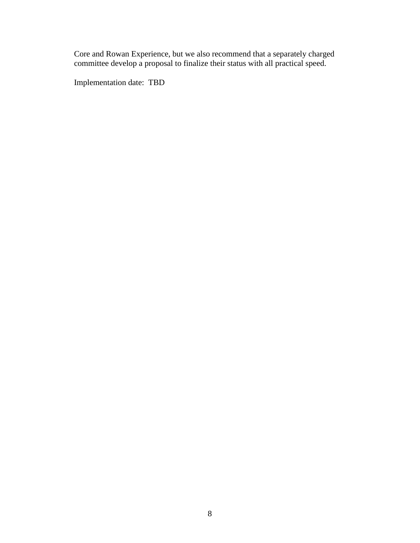Core and Rowan Experience, but we also recommend that a separately charged committee develop a proposal to finalize their status with all practical speed.

Implementation date: TBD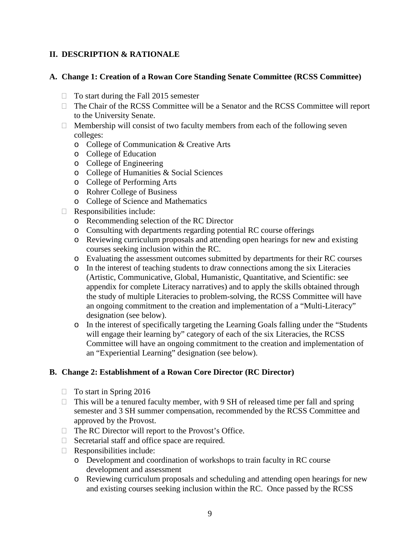## **II. DESCRIPTION & RATIONALE**

## **A. Change 1: Creation of a Rowan Core Standing Senate Committee (RCSS Committee)**

- $\Box$  To start during the Fall 2015 semester
- $\Box$  The Chair of the RCSS Committee will be a Senator and the RCSS Committee will report to the University Senate.
- $\Box$  Membership will consist of two faculty members from each of the following seven colleges:
	- o College of Communication & Creative Arts
	- o College of Education
	- o College of Engineering
	- o College of Humanities & Social Sciences
	- o College of Performing Arts
	- o Rohrer College of Business
	- o College of Science and Mathematics
- $\Box$  Responsibilities include:
	- o Recommending selection of the RC Director
	- o Consulting with departments regarding potential RC course offerings
	- o Reviewing curriculum proposals and attending open hearings for new and existing courses seeking inclusion within the RC.
	- o Evaluating the assessment outcomes submitted by departments for their RC courses
	- o In the interest of teaching students to draw connections among the six Literacies (Artistic, Communicative, Global, Humanistic, Quantitative, and Scientific: see appendix for complete Literacy narratives) and to apply the skills obtained through the study of multiple Literacies to problem-solving, the RCSS Committee will have an ongoing commitment to the creation and implementation of a "Multi-Literacy" designation (see below).
	- o In the interest of specifically targeting the Learning Goals falling under the "Students will engage their learning by" category of each of the six Literacies, the RCSS Committee will have an ongoing commitment to the creation and implementation of an "Experiential Learning" designation (see below).

## **B. Change 2: Establishment of a Rowan Core Director (RC Director)**

- $\Box$  To start in Spring 2016
- $\Box$  This will be a tenured faculty member, with 9 SH of released time per fall and spring semester and 3 SH summer compensation, recommended by the RCSS Committee and approved by the Provost.
- $\Box$  The RC Director will report to the Provost's Office.
- $\Box$  Secretarial staff and office space are required.
- $\Box$  Responsibilities include:
	- o Development and coordination of workshops to train faculty in RC course development and assessment
	- o Reviewing curriculum proposals and scheduling and attending open hearings for new and existing courses seeking inclusion within the RC. Once passed by the RCSS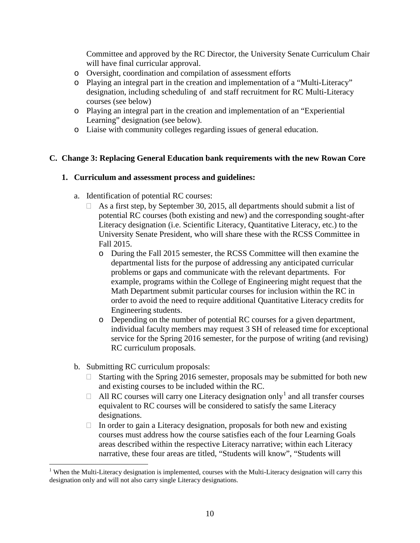Committee and approved by the RC Director, the University Senate Curriculum Chair will have final curricular approval.

- o Oversight, coordination and compilation of assessment efforts
- o Playing an integral part in the creation and implementation of a "Multi-Literacy" designation, including scheduling of and staff recruitment for RC Multi-Literacy courses (see below)
- o Playing an integral part in the creation and implementation of an "Experiential Learning" designation (see below).
- o Liaise with community colleges regarding issues of general education.

## **C. Change 3: Replacing General Education bank requirements with the new Rowan Core**

## **1. Curriculum and assessment process and guidelines:**

- a. Identification of potential RC courses:
	- $\Box$  As a first step, by September 30, 2015, all departments should submit a list of potential RC courses (both existing and new) and the corresponding sought-after Literacy designation (i.e. Scientific Literacy, Quantitative Literacy, etc.) to the University Senate President, who will share these with the RCSS Committee in Fall 2015.
		- o During the Fall 2015 semester, the RCSS Committee will then examine the departmental lists for the purpose of addressing any anticipated curricular problems or gaps and communicate with the relevant departments. For example, programs within the College of Engineering might request that the Math Department submit particular courses for inclusion within the RC in order to avoid the need to require additional Quantitative Literacy credits for Engineering students.
		- o Depending on the number of potential RC courses for a given department, individual faculty members may request 3 SH of released time for exceptional service for the Spring 2016 semester, for the purpose of writing (and revising) RC curriculum proposals.
- b. Submitting RC curriculum proposals:
	- $\Box$  Starting with the Spring 2016 semester, proposals may be submitted for both new and existing courses to be included within the RC.
	- $\Box$  All RC courses will carry one Literacy designation only<sup>[1](#page-0-0)</sup> and all transfer courses equivalent to RC courses will be considered to satisfy the same Literacy designations.
	- $\Box$  In order to gain a Literacy designation, proposals for both new and existing courses must address how the course satisfies each of the four Learning Goals areas described within the respective Literacy narrative; within each Literacy narrative, these four areas are titled, "Students will know", "Students will

<sup>&</sup>lt;sup>1</sup> When the Multi-Literacy designation is implemented, courses with the Multi-Literacy designation will carry this designation only and will not also carry single Literacy designations.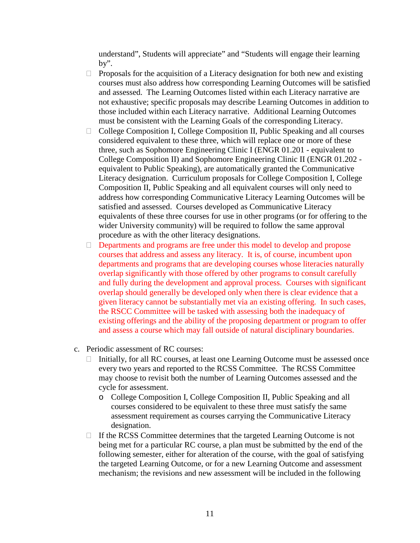understand", Students will appreciate" and "Students will engage their learning by".

- $\Box$  Proposals for the acquisition of a Literacy designation for both new and existing courses must also address how corresponding Learning Outcomes will be satisfied and assessed. The Learning Outcomes listed within each Literacy narrative are not exhaustive; specific proposals may describe Learning Outcomes in addition to those included within each Literacy narrative. Additional Learning Outcomes must be consistent with the Learning Goals of the corresponding Literacy.
- $\Box$  College Composition I, College Composition II, Public Speaking and all courses considered equivalent to these three, which will replace one or more of these three, such as Sophomore Engineering Clinic I (ENGR 01.201 - equivalent to College Composition II) and Sophomore Engineering Clinic II (ENGR 01.202 equivalent to Public Speaking), are automatically granted the Communicative Literacy designation. Curriculum proposals for College Composition I, College Composition II, Public Speaking and all equivalent courses will only need to address how corresponding Communicative Literacy Learning Outcomes will be satisfied and assessed. Courses developed as Communicative Literacy equivalents of these three courses for use in other programs (or for offering to the wider University community) will be required to follow the same approval procedure as with the other literacy designations.
- Departments and programs are free under this model to develop and propose courses that address and assess any literacy. It is, of course, incumbent upon departments and programs that are developing courses whose literacies naturally overlap significantly with those offered by other programs to consult carefully and fully during the development and approval process. Courses with significant overlap should generally be developed only when there is clear evidence that a given literacy cannot be substantially met via an existing offering. In such cases, the RSCC Committee will be tasked with assessing both the inadequacy of existing offerings and the ability of the proposing department or program to offer and assess a course which may fall outside of natural disciplinary boundaries.
- c. Periodic assessment of RC courses:
	- $\Box$  Initially, for all RC courses, at least one Learning Outcome must be assessed once every two years and reported to the RCSS Committee. The RCSS Committee may choose to revisit both the number of Learning Outcomes assessed and the cycle for assessment.
		- o College Composition I, College Composition II, Public Speaking and all courses considered to be equivalent to these three must satisfy the same assessment requirement as courses carrying the Communicative Literacy designation.
	- $\Box$  If the RCSS Committee determines that the targeted Learning Outcome is not being met for a particular RC course, a plan must be submitted by the end of the following semester, either for alteration of the course, with the goal of satisfying the targeted Learning Outcome, or for a new Learning Outcome and assessment mechanism; the revisions and new assessment will be included in the following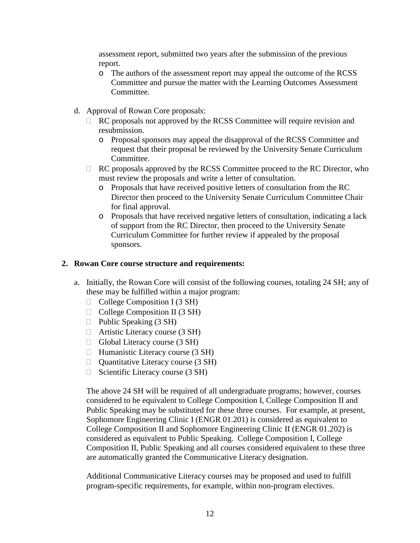assessment report, submitted two years after the submission of the previous report.

- o The authors of the assessment report may appeal the outcome of the RCSS Committee and pursue the matter with the Learning Outcomes Assessment Committee.
- d. Approval of Rowan Core proposals:
	- $\Box$  RC proposals not approved by the RCSS Committee will require revision and resubmission.
		- o Proposal sponsors may appeal the disapproval of the RCSS Committee and request that their proposal be reviewed by the University Senate Curriculum Committee.
	- $\Box$  RC proposals approved by the RCSS Committee proceed to the RC Director, who must review the proposals and write a letter of consultation.
		- o Proposals that have received positive letters of consultation from the RC Director then proceed to the University Senate Curriculum Committee Chair for final approval.
		- o Proposals that have received negative letters of consultation, indicating a lack of support from the RC Director, then proceed to the University Senate Curriculum Committee for further review if appealed by the proposal sponsors.

## **2. Rowan Core course structure and requirements:**

- a. Initially, the Rowan Core will consist of the following courses, totaling 24 SH; any of these may be fulfilled within a major program:
	- $\Box$  College Composition I (3 SH)
	- $\Box$  College Composition II (3 SH)
	- $\Box$  Public Speaking (3 SH)
	- $\Box$  Artistic Literacy course (3 SH)
	- $\Box$  Global Literacy course (3 SH)
	- $\Box$  Humanistic Literacy course (3 SH)
	- $\Box$  Quantitative Literacy course (3 SH)
	- $\Box$  Scientific Literacy course (3 SH)

The above 24 SH will be required of all undergraduate programs; however, courses considered to be equivalent to College Composition I, College Composition II and Public Speaking may be substituted for these three courses. For example, at present, Sophomore Engineering Clinic I (ENGR 01.201) is considered as equivalent to College Composition II and Sophomore Engineering Clinic II (ENGR 01.202) is considered as equivalent to Public Speaking. College Composition I, College Composition II, Public Speaking and all courses considered equivalent to these three are automatically granted the Communicative Literacy designation.

Additional Communicative Literacy courses may be proposed and used to fulfill program-specific requirements, for example, within non-program electives.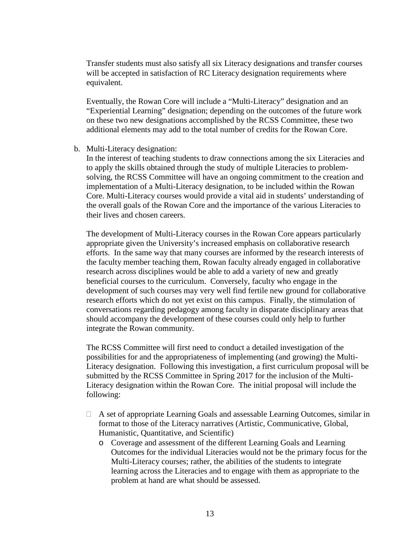Transfer students must also satisfy all six Literacy designations and transfer courses will be accepted in satisfaction of RC Literacy designation requirements where equivalent.

Eventually, the Rowan Core will include a "Multi-Literacy" designation and an "Experiential Learning" designation; depending on the outcomes of the future work on these two new designations accomplished by the RCSS Committee, these two additional elements may add to the total number of credits for the Rowan Core.

#### b. Multi-Literacy designation:

In the interest of teaching students to draw connections among the six Literacies and to apply the skills obtained through the study of multiple Literacies to problemsolving, the RCSS Committee will have an ongoing commitment to the creation and implementation of a Multi-Literacy designation, to be included within the Rowan Core. Multi-Literacy courses would provide a vital aid in students' understanding of the overall goals of the Rowan Core and the importance of the various Literacies to their lives and chosen careers.

The development of Multi-Literacy courses in the Rowan Core appears particularly appropriate given the University's increased emphasis on collaborative research efforts. In the same way that many courses are informed by the research interests of the faculty member teaching them, Rowan faculty already engaged in collaborative research across disciplines would be able to add a variety of new and greatly beneficial courses to the curriculum. Conversely, faculty who engage in the development of such courses may very well find fertile new ground for collaborative research efforts which do not yet exist on this campus. Finally, the stimulation of conversations regarding pedagogy among faculty in disparate disciplinary areas that should accompany the development of these courses could only help to further integrate the Rowan community.

The RCSS Committee will first need to conduct a detailed investigation of the possibilities for and the appropriateness of implementing (and growing) the Multi-Literacy designation. Following this investigation, a first curriculum proposal will be submitted by the RCSS Committee in Spring 2017 for the inclusion of the Multi-Literacy designation within the Rowan Core. The initial proposal will include the following:

- $\Box$  A set of appropriate Learning Goals and assessable Learning Outcomes, similar in format to those of the Literacy narratives (Artistic, Communicative, Global, Humanistic, Quantitative, and Scientific)
	- o Coverage and assessment of the different Learning Goals and Learning Outcomes for the individual Literacies would not be the primary focus for the Multi-Literacy courses; rather, the abilities of the students to integrate learning across the Literacies and to engage with them as appropriate to the problem at hand are what should be assessed.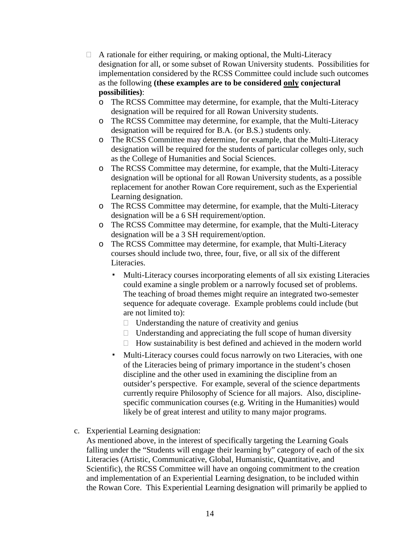- $\Box$  A rationale for either requiring, or making optional, the Multi-Literacy designation for all, or some subset of Rowan University students. Possibilities for implementation considered by the RCSS Committee could include such outcomes as the following **(these examples are to be considered only conjectural possibilities)**:
	- o The RCSS Committee may determine, for example, that the Multi-Literacy designation will be required for all Rowan University students.
	- o The RCSS Committee may determine, for example, that the Multi-Literacy designation will be required for B.A. (or B.S.) students only.
	- o The RCSS Committee may determine, for example, that the Multi-Literacy designation will be required for the students of particular colleges only, such as the College of Humanities and Social Sciences.
	- o The RCSS Committee may determine, for example, that the Multi-Literacy designation will be optional for all Rowan University students, as a possible replacement for another Rowan Core requirement, such as the Experiential Learning designation.
	- o The RCSS Committee may determine, for example, that the Multi-Literacy designation will be a 6 SH requirement/option.
	- o The RCSS Committee may determine, for example, that the Multi-Literacy designation will be a 3 SH requirement/option.
	- o The RCSS Committee may determine, for example, that Multi-Literacy courses should include two, three, four, five, or all six of the different Literacies.
		- Multi-Literacy courses incorporating elements of all six existing Literacies could examine a single problem or a narrowly focused set of problems. The teaching of broad themes might require an integrated two-semester sequence for adequate coverage. Example problems could include (but are not limited to):
			- $\Box$  Understanding the nature of creativity and genius
			- $\Box$  Understanding and appreciating the full scope of human diversity
			- $\Box$  How sustainability is best defined and achieved in the modern world
		- Multi-Literacy courses could focus narrowly on two Literacies, with one of the Literacies being of primary importance in the student's chosen discipline and the other used in examining the discipline from an outsider's perspective. For example, several of the science departments currently require Philosophy of Science for all majors. Also, disciplinespecific communication courses (e.g. Writing in the Humanities) would likely be of great interest and utility to many major programs.
- c. Experiential Learning designation:

As mentioned above, in the interest of specifically targeting the Learning Goals falling under the "Students will engage their learning by" category of each of the six Literacies (Artistic, Communicative, Global, Humanistic, Quantitative, and Scientific), the RCSS Committee will have an ongoing commitment to the creation and implementation of an Experiential Learning designation, to be included within the Rowan Core. This Experiential Learning designation will primarily be applied to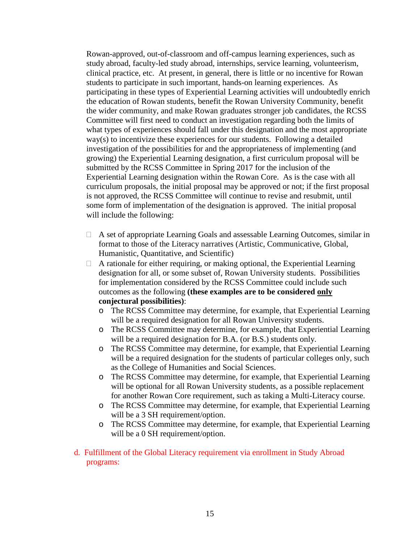Rowan-approved, out-of-classroom and off-campus learning experiences, such as study abroad, faculty-led study abroad, internships, service learning, volunteerism, clinical practice, etc. At present, in general, there is little or no incentive for Rowan students to participate in such important, hands-on learning experiences. As participating in these types of Experiential Learning activities will undoubtedly enrich the education of Rowan students, benefit the Rowan University Community, benefit the wider community, and make Rowan graduates stronger job candidates, the RCSS Committee will first need to conduct an investigation regarding both the limits of what types of experiences should fall under this designation and the most appropriate way(s) to incentivize these experiences for our students. Following a detailed investigation of the possibilities for and the appropriateness of implementing (and growing) the Experiential Learning designation, a first curriculum proposal will be submitted by the RCSS Committee in Spring 2017 for the inclusion of the Experiential Learning designation within the Rowan Core. As is the case with all curriculum proposals, the initial proposal may be approved or not; if the first proposal is not approved, the RCSS Committee will continue to revise and resubmit, until some form of implementation of the designation is approved. The initial proposal will include the following:

- $\Box$  A set of appropriate Learning Goals and assessable Learning Outcomes, similar in format to those of the Literacy narratives (Artistic, Communicative, Global, Humanistic, Quantitative, and Scientific)
- $\Box$  A rationale for either requiring, or making optional, the Experiential Learning designation for all, or some subset of, Rowan University students. Possibilities for implementation considered by the RCSS Committee could include such outcomes as the following **(these examples are to be considered only conjectural possibilities)**:
	- o The RCSS Committee may determine, for example, that Experiential Learning will be a required designation for all Rowan University students.
	- o The RCSS Committee may determine, for example, that Experiential Learning will be a required designation for B.A. (or B.S.) students only.
	- o The RCSS Committee may determine, for example, that Experiential Learning will be a required designation for the students of particular colleges only, such as the College of Humanities and Social Sciences.
	- o The RCSS Committee may determine, for example, that Experiential Learning will be optional for all Rowan University students, as a possible replacement for another Rowan Core requirement, such as taking a Multi-Literacy course.
	- o The RCSS Committee may determine, for example, that Experiential Learning will be a 3 SH requirement/option.
	- o The RCSS Committee may determine, for example, that Experiential Learning will be a 0 SH requirement/option.
- d. Fulfillment of the Global Literacy requirement via enrollment in Study Abroad programs: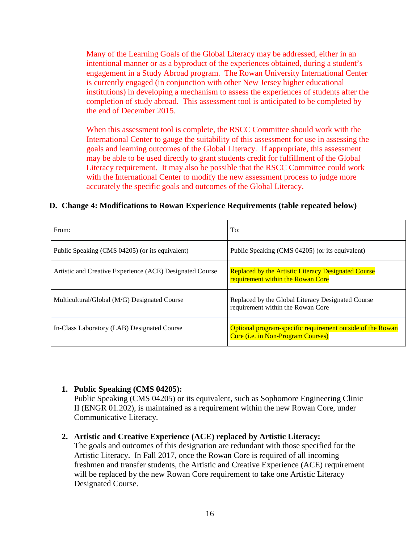Many of the Learning Goals of the Global Literacy may be addressed, either in an intentional manner or as a byproduct of the experiences obtained, during a student's engagement in a Study Abroad program. The Rowan University International Center is currently engaged (in conjunction with other New Jersey higher educational institutions) in developing a mechanism to assess the experiences of students after the completion of study abroad. This assessment tool is anticipated to be completed by the end of December 2015.

When this assessment tool is complete, the RSCC Committee should work with the International Center to gauge the suitability of this assessment for use in assessing the goals and learning outcomes of the Global Literacy. If appropriate, this assessment may be able to be used directly to grant students credit for fulfillment of the Global Literacy requirement. It may also be possible that the RSCC Committee could work with the International Center to modify the new assessment process to judge more accurately the specific goals and outcomes of the Global Literacy.

#### **D. Change 4: Modifications to Rowan Experience Requirements (table repeated below)**

| From:                                                    | To:                                                                                              |
|----------------------------------------------------------|--------------------------------------------------------------------------------------------------|
| Public Speaking (CMS 04205) (or its equivalent)          | Public Speaking (CMS 04205) (or its equivalent)                                                  |
| Artistic and Creative Experience (ACE) Designated Course | Replaced by the Artistic Literacy Designated Course<br>requirement within the Rowan Core         |
| Multicultural/Global (M/G) Designated Course             | Replaced by the Global Literacy Designated Course<br>requirement within the Rowan Core           |
| In-Class Laboratory (LAB) Designated Course              | Optional program-specific requirement outside of the Rowan<br>Core (i.e. in Non-Program Courses) |

### **1. Public Speaking (CMS 04205):**

Public Speaking (CMS 04205) or its equivalent, such as Sophomore Engineering Clinic II (ENGR 01.202), is maintained as a requirement within the new Rowan Core, under Communicative Literacy.

#### **2. Artistic and Creative Experience (ACE) replaced by Artistic Literacy:**

The goals and outcomes of this designation are redundant with those specified for the Artistic Literacy. In Fall 2017, once the Rowan Core is required of all incoming freshmen and transfer students, the Artistic and Creative Experience (ACE) requirement will be replaced by the new Rowan Core requirement to take one Artistic Literacy Designated Course.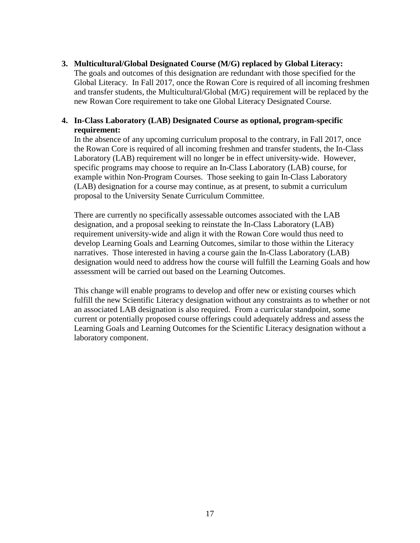#### **3. Multicultural/Global Designated Course (M/G) replaced by Global Literacy:**

The goals and outcomes of this designation are redundant with those specified for the Global Literacy. In Fall 2017, once the Rowan Core is required of all incoming freshmen and transfer students, the Multicultural/Global (M/G) requirement will be replaced by the new Rowan Core requirement to take one Global Literacy Designated Course.

### **4. In-Class Laboratory (LAB) Designated Course as optional, program-specific requirement:**

In the absence of any upcoming curriculum proposal to the contrary, in Fall 2017, once the Rowan Core is required of all incoming freshmen and transfer students, the In-Class Laboratory (LAB) requirement will no longer be in effect university-wide. However, specific programs may choose to require an In-Class Laboratory (LAB) course, for example within Non-Program Courses. Those seeking to gain In-Class Laboratory (LAB) designation for a course may continue, as at present, to submit a curriculum proposal to the University Senate Curriculum Committee.

There are currently no specifically assessable outcomes associated with the LAB designation, and a proposal seeking to reinstate the In-Class Laboratory (LAB) requirement university-wide and align it with the Rowan Core would thus need to develop Learning Goals and Learning Outcomes, similar to those within the Literacy narratives. Those interested in having a course gain the In-Class Laboratory (LAB) designation would need to address how the course will fulfill the Learning Goals and how assessment will be carried out based on the Learning Outcomes.

This change will enable programs to develop and offer new or existing courses which fulfill the new Scientific Literacy designation without any constraints as to whether or not an associated LAB designation is also required. From a curricular standpoint, some current or potentially proposed course offerings could adequately address and assess the Learning Goals and Learning Outcomes for the Scientific Literacy designation without a laboratory component.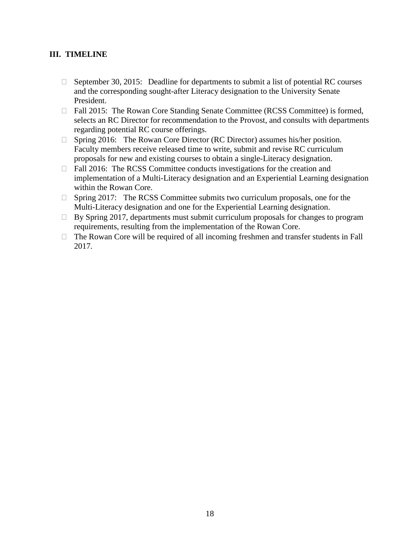## **III. TIMELINE**

- $\Box$  September 30, 2015: Deadline for departments to submit a list of potential RC courses and the corresponding sought-after Literacy designation to the University Senate President.
- □ Fall 2015: The Rowan Core Standing Senate Committee (RCSS Committee) is formed, selects an RC Director for recommendation to the Provost, and consults with departments regarding potential RC course offerings.
- $\Box$  Spring 2016: The Rowan Core Director (RC Director) assumes his/her position. Faculty members receive released time to write, submit and revise RC curriculum proposals for new and existing courses to obtain a single-Literacy designation.
- $\Box$  Fall 2016: The RCSS Committee conducts investigations for the creation and implementation of a Multi-Literacy designation and an Experiential Learning designation within the Rowan Core.
- □ Spring 2017: The RCSS Committee submits two curriculum proposals, one for the Multi-Literacy designation and one for the Experiential Learning designation.
- $\Box$  By Spring 2017, departments must submit curriculum proposals for changes to program requirements, resulting from the implementation of the Rowan Core.
- $\Box$  The Rowan Core will be required of all incoming freshmen and transfer students in Fall 2017.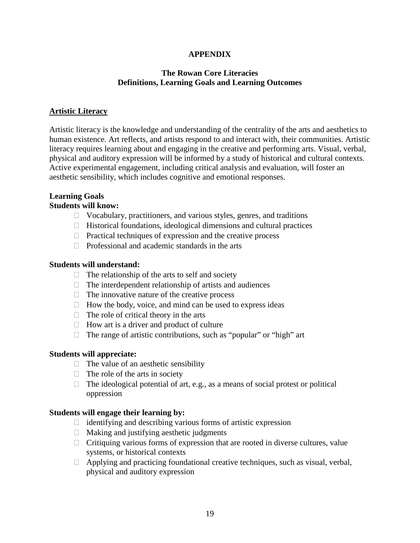## **APPENDIX**

## **The Rowan Core Literacies Definitions, Learning Goals and Learning Outcomes**

## **Artistic Literacy**

Artistic literacy is the knowledge and understanding of the centrality of the arts and aesthetics to human existence. Art reflects, and artists respond to and interact with, their communities. Artistic literacy requires learning about and engaging in the creative and performing arts. Visual, verbal, physical and auditory expression will be informed by a study of historical and cultural contexts. Active experimental engagement, including critical analysis and evaluation, will foster an aesthetic sensibility, which includes cognitive and emotional responses.

## **Learning Goals**

## **Students will know:**

- $\Box$  Vocabulary, practitioners, and various styles, genres, and traditions
- $\Box$  Historical foundations, ideological dimensions and cultural practices
- $\Box$  Practical techniques of expression and the creative process
- $\Box$  Professional and academic standards in the arts

### **Students will understand:**

- $\Box$  The relationship of the arts to self and society
- $\Box$  The interdependent relationship of artists and audiences
- $\Box$  The innovative nature of the creative process
- $\Box$  How the body, voice, and mind can be used to express ideas
- $\Box$  The role of critical theory in the arts
- $\Box$  How art is a driver and product of culture
- $\Box$  The range of artistic contributions, such as "popular" or "high" art

### **Students will appreciate:**

- $\Box$  The value of an aesthetic sensibility
- $\Box$  The role of the arts in society
- $\Box$  The ideological potential of art, e.g., as a means of social protest or political oppression

### **Students will engage their learning by:**

- $\Box$  identifying and describing various forms of artistic expression
- $\Box$  Making and justifying aesthetic judgments
- $\Box$  Critiquing various forms of expression that are rooted in diverse cultures, value systems, or historical contexts
- $\Box$  Applying and practicing foundational creative techniques, such as visual, verbal, physical and auditory expression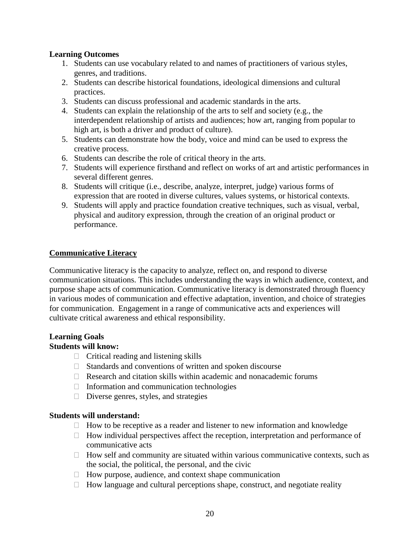## **Learning Outcomes**

- 1. Students can use vocabulary related to and names of practitioners of various styles, genres, and traditions.
- 2. Students can describe historical foundations, ideological dimensions and cultural practices.
- 3. Students can discuss professional and academic standards in the arts.
- 4. Students can explain the relationship of the arts to self and society (e.g., the interdependent relationship of artists and audiences; how art, ranging from popular to high art, is both a driver and product of culture).
- 5. Students can demonstrate how the body, voice and mind can be used to express the creative process.
- 6. Students can describe the role of critical theory in the arts.
- 7. Students will experience firsthand and reflect on works of art and artistic performances in several different genres.
- 8. Students will critique (i.e., describe, analyze, interpret, judge) various forms of expression that are rooted in diverse cultures, values systems, or historical contexts.
- 9. Students will apply and practice foundation creative techniques, such as visual, verbal, physical and auditory expression, through the creation of an original product or performance.

## **Communicative Literacy**

Communicative literacy is the capacity to analyze, reflect on, and respond to diverse communication situations. This includes understanding the ways in which audience, context, and purpose shape acts of communication. Communicative literacy is demonstrated through fluency in various modes of communication and effective adaptation, invention, and choice of strategies for communication. Engagement in a range of communicative acts and experiences will cultivate critical awareness and ethical responsibility.

## **Learning Goals**

## **Students will know:**

- $\Box$  Critical reading and listening skills
- $\Box$  Standards and conventions of written and spoken discourse
- $\Box$  Research and citation skills within academic and nonacademic forums
- $\Box$  Information and communication technologies
- $\square$  Diverse genres, styles, and strategies

### **Students will understand:**

- $\Box$  How to be receptive as a reader and listener to new information and knowledge
- $\Box$  How individual perspectives affect the reception, interpretation and performance of communicative acts
- $\Box$  How self and community are situated within various communicative contexts, such as the social, the political, the personal, and the civic
- $\Box$  How purpose, audience, and context shape communication
- $\Box$  How language and cultural perceptions shape, construct, and negotiate reality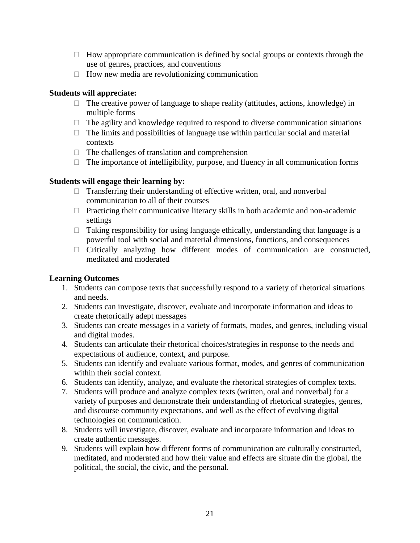- $\Box$  How appropriate communication is defined by social groups or contexts through the use of genres, practices, and conventions
- $\Box$  How new media are revolutionizing communication

## **Students will appreciate:**

- $\Box$  The creative power of language to shape reality (attitudes, actions, knowledge) in multiple forms
- $\Box$  The agility and knowledge required to respond to diverse communication situations
- $\Box$  The limits and possibilities of language use within particular social and material contexts
- $\Box$  The challenges of translation and comprehension
- $\Box$  The importance of intelligibility, purpose, and fluency in all communication forms

## **Students will engage their learning by:**

- $\Box$  Transferring their understanding of effective written, oral, and nonverbal communication to all of their courses
- $\Box$  Practicing their communicative literacy skills in both academic and non-academic settings
- $\Box$  Taking responsibility for using language ethically, understanding that language is a powerful tool with social and material dimensions, functions, and consequences
- $\Box$  Critically analyzing how different modes of communication are constructed, meditated and moderated

## **Learning Outcomes**

- 1. Students can compose texts that successfully respond to a variety of rhetorical situations and needs.
- 2. Students can investigate, discover, evaluate and incorporate information and ideas to create rhetorically adept messages
- 3. Students can create messages in a variety of formats, modes, and genres, including visual and digital modes.
- 4. Students can articulate their rhetorical choices/strategies in response to the needs and expectations of audience, context, and purpose.
- 5. Students can identify and evaluate various format, modes, and genres of communication within their social context.
- 6. Students can identify, analyze, and evaluate the rhetorical strategies of complex texts.
- 7. Students will produce and analyze complex texts (written, oral and nonverbal) for a variety of purposes and demonstrate their understanding of rhetorical strategies, genres, and discourse community expectations, and well as the effect of evolving digital technologies on communication.
- 8. Students will investigate, discover, evaluate and incorporate information and ideas to create authentic messages.
- 9. Students will explain how different forms of communication are culturally constructed, meditated, and moderated and how their value and effects are situate din the global, the political, the social, the civic, and the personal.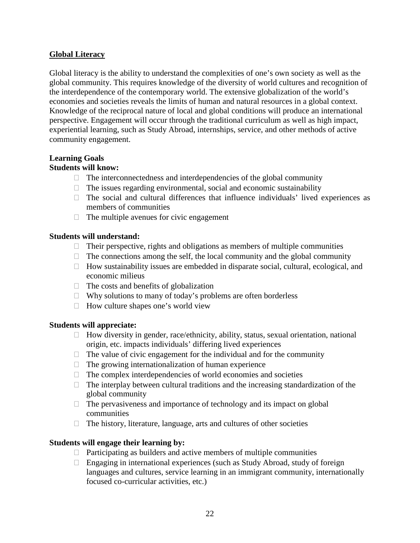## **Global Literacy**

Global literacy is the ability to understand the complexities of one's own society as well as the global community. This requires knowledge of the diversity of world cultures and recognition of the interdependence of the contemporary world. The extensive globalization of the world's economies and societies reveals the limits of human and natural resources in a global context. Knowledge of the reciprocal nature of local and global conditions will produce an international perspective. Engagement will occur through the traditional curriculum as well as high impact, experiential learning, such as Study Abroad, internships, service, and other methods of active community engagement.

## **Learning Goals**

## **Students will know:**

- $\Box$  The interconnectedness and interdependencies of the global community
- $\Box$  The issues regarding environmental, social and economic sustainability
- $\Box$  The social and cultural differences that influence individuals' lived experiences as members of communities
- $\Box$  The multiple avenues for civic engagement

## **Students will understand:**

- $\Box$  Their perspective, rights and obligations as members of multiple communities
- $\Box$  The connections among the self, the local community and the global community
- $\Box$  How sustainability issues are embedded in disparate social, cultural, ecological, and economic milieus
- $\Box$  The costs and benefits of globalization
- $\Box$  Why solutions to many of today's problems are often borderless
- $\Box$  How culture shapes one's world view

## **Students will appreciate:**

- $\Box$  How diversity in gender, race/ethnicity, ability, status, sexual orientation, national origin, etc. impacts individuals' differing lived experiences
- $\Box$  The value of civic engagement for the individual and for the community
- $\Box$  The growing internationalization of human experience
- $\Box$  The complex interdependencies of world economies and societies
- $\Box$  The interplay between cultural traditions and the increasing standardization of the global community
- $\Box$  The pervasiveness and importance of technology and its impact on global communities
- $\Box$  The history, literature, language, arts and cultures of other societies

## **Students will engage their learning by:**

- $\Box$  Participating as builders and active members of multiple communities
- $\Box$  Engaging in international experiences (such as Study Abroad, study of foreign languages and cultures, service learning in an immigrant community, internationally focused co-curricular activities, etc.)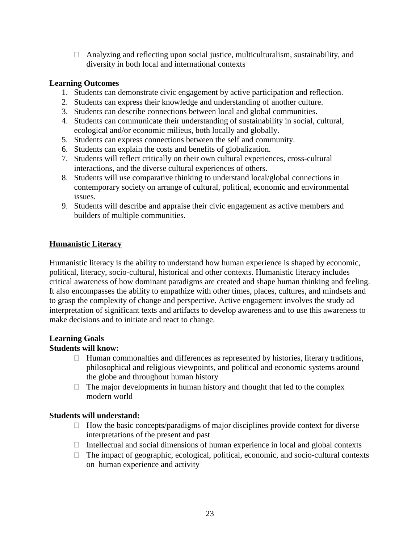$\Box$  Analyzing and reflecting upon social justice, multiculturalism, sustainability, and diversity in both local and international contexts

## **Learning Outcomes**

- 1. Students can demonstrate civic engagement by active participation and reflection.
- 2. Students can express their knowledge and understanding of another culture.
- 3. Students can describe connections between local and global communities.
- 4. Students can communicate their understanding of sustainability in social, cultural, ecological and/or economic milieus, both locally and globally.
- 5. Students can express connections between the self and community.
- 6. Students can explain the costs and benefits of globalization.
- 7. Students will reflect critically on their own cultural experiences, cross-cultural interactions, and the diverse cultural experiences of others.
- 8. Students will use comparative thinking to understand local/global connections in contemporary society on arrange of cultural, political, economic and environmental issues.
- 9. Students will describe and appraise their civic engagement as active members and builders of multiple communities.

## **Humanistic Literacy**

Humanistic literacy is the ability to understand how human experience is shaped by economic, political, literacy, socio-cultural, historical and other contexts. Humanistic literacy includes critical awareness of how dominant paradigms are created and shape human thinking and feeling. It also encompasses the ability to empathize with other times, places, cultures, and mindsets and to grasp the complexity of change and perspective. Active engagement involves the study ad interpretation of significant texts and artifacts to develop awareness and to use this awareness to make decisions and to initiate and react to change.

#### **Learning Goals Students will know:**

- $\Box$  Human commonalties and differences as represented by histories, literary traditions, philosophical and religious viewpoints, and political and economic systems around the globe and throughout human history
- $\Box$  The major developments in human history and thought that led to the complex modern world

### **Students will understand:**

- $\Box$  How the basic concepts/paradigms of major disciplines provide context for diverse interpretations of the present and past
- $\Box$  Intellectual and social dimensions of human experience in local and global contexts
- $\Box$  The impact of geographic, ecological, political, economic, and socio-cultural contexts on human experience and activity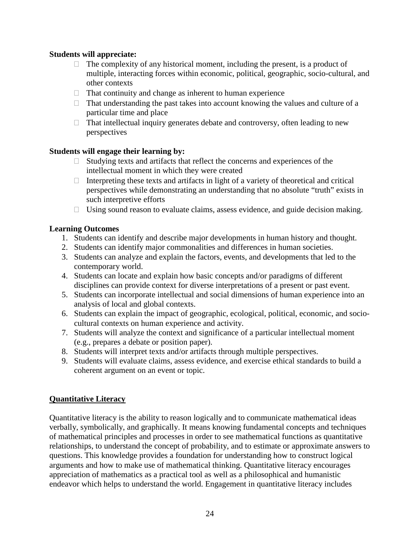## **Students will appreciate:**

- $\Box$  The complexity of any historical moment, including the present, is a product of multiple, interacting forces within economic, political, geographic, socio-cultural, and other contexts
- $\Box$  That continuity and change as inherent to human experience
- $\Box$  That understanding the past takes into account knowing the values and culture of a particular time and place
- $\Box$  That intellectual inquiry generates debate and controversy, often leading to new perspectives

## **Students will engage their learning by:**

- $\Box$  Studying texts and artifacts that reflect the concerns and experiences of the intellectual moment in which they were created
- $\Box$  Interpreting these texts and artifacts in light of a variety of theoretical and critical perspectives while demonstrating an understanding that no absolute "truth" exists in such interpretive efforts
- $\Box$  Using sound reason to evaluate claims, assess evidence, and guide decision making.

## **Learning Outcomes**

- 1. Students can identify and describe major developments in human history and thought.
- 2. Students can identify major commonalities and differences in human societies.
- 3. Students can analyze and explain the factors, events, and developments that led to the contemporary world.
- 4. Students can locate and explain how basic concepts and/or paradigms of different disciplines can provide context for diverse interpretations of a present or past event.
- 5. Students can incorporate intellectual and social dimensions of human experience into an analysis of local and global contexts.
- 6. Students can explain the impact of geographic, ecological, political, economic, and sociocultural contexts on human experience and activity.
- 7. Students will analyze the context and significance of a particular intellectual moment (e.g., prepares a debate or position paper).
- 8. Students will interpret texts and/or artifacts through multiple perspectives.
- 9. Students will evaluate claims, assess evidence, and exercise ethical standards to build a coherent argument on an event or topic.

## **Quantitative Literacy**

Quantitative literacy is the ability to reason logically and to communicate mathematical ideas verbally, symbolically, and graphically. It means knowing fundamental concepts and techniques of mathematical principles and processes in order to see mathematical functions as quantitative relationships, to understand the concept of probability, and to estimate or approximate answers to questions. This knowledge provides a foundation for understanding how to construct logical arguments and how to make use of mathematical thinking. Quantitative literacy encourages appreciation of mathematics as a practical tool as well as a philosophical and humanistic endeavor which helps to understand the world. Engagement in quantitative literacy includes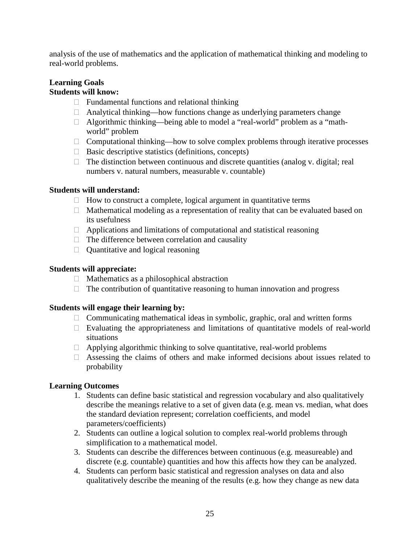analysis of the use of mathematics and the application of mathematical thinking and modeling to real-world problems.

# **Learning Goals**

## **Students will know:**

- $\Box$  Fundamental functions and relational thinking
- $\Box$  Analytical thinking—how functions change as underlying parameters change
- $\Box$  Algorithmic thinking—being able to model a "real-world" problem as a "mathworld" problem
- $\Box$  Computational thinking—how to solve complex problems through iterative processes
- $\Box$  Basic descriptive statistics (definitions, concepts)
- $\Box$  The distinction between continuous and discrete quantities (analog v. digital; real numbers v. natural numbers, measurable v. countable)

## **Students will understand:**

- $\Box$  How to construct a complete, logical argument in quantitative terms
- $\Box$  Mathematical modeling as a representation of reality that can be evaluated based on its usefulness
- $\Box$  Applications and limitations of computational and statistical reasoning
- $\Box$  The difference between correlation and causality
- $\Box$  Quantitative and logical reasoning

## **Students will appreciate:**

- $\Box$  Mathematics as a philosophical abstraction
- $\Box$  The contribution of quantitative reasoning to human innovation and progress

## **Students will engage their learning by:**

- $\Box$  Communicating mathematical ideas in symbolic, graphic, oral and written forms
- $\Box$  Evaluating the appropriateness and limitations of quantitative models of real-world situations
- $\Box$  Applying algorithmic thinking to solve quantitative, real-world problems
- $\Box$  Assessing the claims of others and make informed decisions about issues related to probability

## **Learning Outcomes**

- 1. Students can define basic statistical and regression vocabulary and also qualitatively describe the meanings relative to a set of given data (e.g. mean vs. median, what does the standard deviation represent; correlation coefficients, and model parameters/coefficients)
- 2. Students can outline a logical solution to complex real-world problems through simplification to a mathematical model.
- 3. Students can describe the differences between continuous (e.g. measureable) and discrete (e.g. countable) quantities and how this affects how they can be analyzed.
- 4. Students can perform basic statistical and regression analyses on data and also qualitatively describe the meaning of the results (e.g. how they change as new data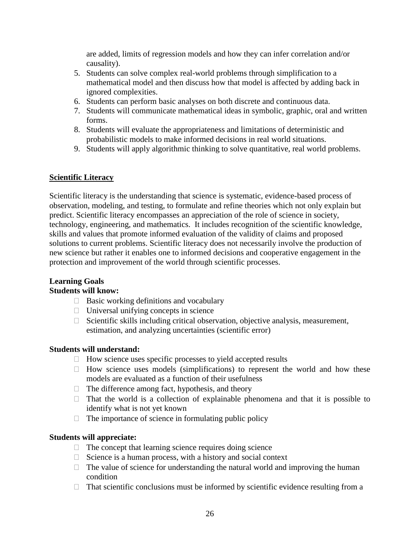are added, limits of regression models and how they can infer correlation and/or causality).

- 5. Students can solve complex real-world problems through simplification to a mathematical model and then discuss how that model is affected by adding back in ignored complexities.
- 6. Students can perform basic analyses on both discrete and continuous data.
- 7. Students will communicate mathematical ideas in symbolic, graphic, oral and written forms.
- 8. Students will evaluate the appropriateness and limitations of deterministic and probabilistic models to make informed decisions in real world situations.
- 9. Students will apply algorithmic thinking to solve quantitative, real world problems.

## **Scientific Literacy**

Scientific literacy is the understanding that science is systematic, evidence-based process of observation, modeling, and testing, to formulate and refine theories which not only explain but predict. Scientific literacy encompasses an appreciation of the role of science in society, technology, engineering, and mathematics. It includes recognition of the scientific knowledge, skills and values that promote informed evaluation of the validity of claims and proposed solutions to current problems. Scientific literacy does not necessarily involve the production of new science but rather it enables one to informed decisions and cooperative engagement in the protection and improvement of the world through scientific processes.

#### **Learning Goals Students will know:**

- $\Box$  Basic working definitions and vocabulary
- $\Box$  Universal unifying concepts in science
- $\Box$  Scientific skills including critical observation, objective analysis, measurement, estimation, and analyzing uncertainties (scientific error)

## **Students will understand:**

- $\Box$  How science uses specific processes to yield accepted results
- $\Box$  How science uses models (simplifications) to represent the world and how these models are evaluated as a function of their usefulness
- $\Box$  The difference among fact, hypothesis, and theory
- $\Box$  That the world is a collection of explainable phenomena and that it is possible to identify what is not yet known
- $\Box$  The importance of science in formulating public policy

## **Students will appreciate:**

- $\Box$  The concept that learning science requires doing science
- $\Box$  Science is a human process, with a history and social context
- $\Box$  The value of science for understanding the natural world and improving the human condition
- $\Box$  That scientific conclusions must be informed by scientific evidence resulting from a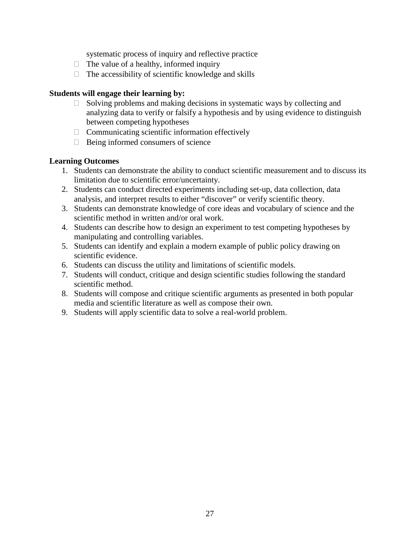systematic process of inquiry and reflective practice

- $\Box$  The value of a healthy, informed inquiry
- $\Box$  The accessibility of scientific knowledge and skills

## **Students will engage their learning by:**

- $\Box$  Solving problems and making decisions in systematic ways by collecting and analyzing data to verify or falsify a hypothesis and by using evidence to distinguish between competing hypotheses
- $\Box$  Communicating scientific information effectively
- $\Box$  Being informed consumers of science

## **Learning Outcomes**

- 1. Students can demonstrate the ability to conduct scientific measurement and to discuss its limitation due to scientific error/uncertainty.
- 2. Students can conduct directed experiments including set-up, data collection, data analysis, and interpret results to either "discover" or verify scientific theory.
- 3. Students can demonstrate knowledge of core ideas and vocabulary of science and the scientific method in written and/or oral work.
- 4. Students can describe how to design an experiment to test competing hypotheses by manipulating and controlling variables.
- 5. Students can identify and explain a modern example of public policy drawing on scientific evidence.
- 6. Students can discuss the utility and limitations of scientific models.
- 7. Students will conduct, critique and design scientific studies following the standard scientific method.
- 8. Students will compose and critique scientific arguments as presented in both popular media and scientific literature as well as compose their own.
- 9. Students will apply scientific data to solve a real-world problem.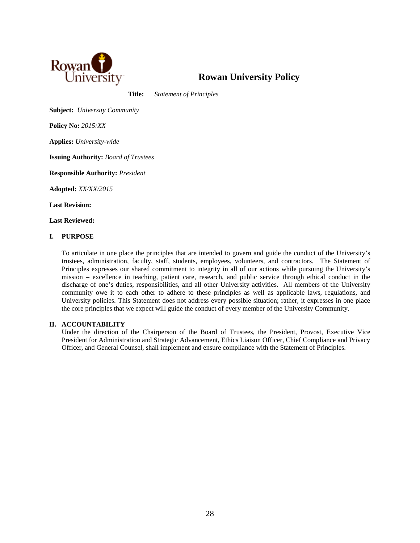

## **Rowan University Policy**

**Title:** *Statement of Principles*

**Subject:** *University Community*

**Policy No:** *2015:XX*

**Applies:** *University-wide*

**Issuing Authority:** *Board of Trustees*

**Responsible Authority:** *President*

**Adopted:** *XX/XX/2015*

**Last Revision:**

**Last Reviewed:**

#### **I. PURPOSE**

To articulate in one place the principles that are intended to govern and guide the conduct of the University's trustees, administration, faculty, staff, students, employees, volunteers, and contractors. The Statement of Principles expresses our shared commitment to integrity in all of our actions while pursuing the University's mission – excellence in teaching, patient care, research, and public service through ethical conduct in the discharge of one's duties, responsibilities, and all other University activities. All members of the University community owe it to each other to adhere to these principles as well as applicable laws, regulations, and University policies. This Statement does not address every possible situation; rather, it expresses in one place the core principles that we expect will guide the conduct of every member of the University Community.

#### **II. ACCOUNTABILITY**

Under the direction of the Chairperson of the Board of Trustees, the President, Provost, Executive Vice President for Administration and Strategic Advancement, Ethics Liaison Officer, Chief Compliance and Privacy Officer, and General Counsel, shall implement and ensure compliance with the Statement of Principles.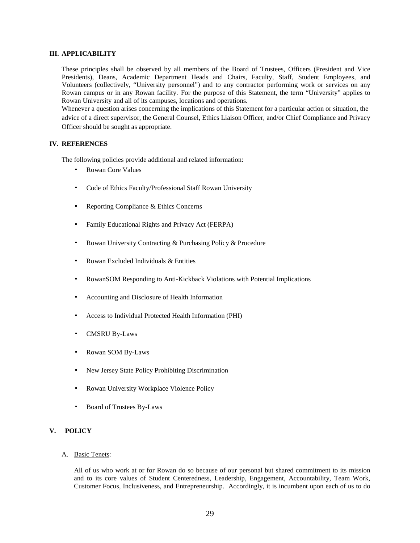#### **III. APPLICABILITY**

These principles shall be observed by all members of the Board of Trustees, Officers (President and Vice Presidents), Deans, Academic Department Heads and Chairs, Faculty, Staff, Student Employees, and Volunteers (collectively, "University personnel") and to any contractor performing work or services on any Rowan campus or in any Rowan facility. For the purpose of this Statement, the term "University" applies to Rowan University and all of its campuses, locations and operations.

Whenever a question arises concerning the implications of this Statement for a particular action or situation, the advice of a direct supervisor, the General Counsel, Ethics Liaison Officer, and/or Chief Compliance and Privacy Officer should be sought as appropriate.

#### **IV. REFERENCES**

The following policies provide additional and related information:

- Rowan Core Values
- Code of Ethics Faculty/Professional Staff Rowan University
- Reporting Compliance & Ethics Concerns
- Family Educational Rights and Privacy Act (FERPA)
- Rowan University Contracting & Purchasing Policy & Procedure
- Rowan Excluded Individuals & Entities
- RowanSOM Responding to Anti-Kickback Violations with Potential Implications
- Accounting and Disclosure of Health Information
- Access to Individual Protected Health Information (PHI)
- CMSRU By-Laws
- Rowan SOM By-Laws
- New Jersey State Policy Prohibiting Discrimination
- Rowan University Workplace Violence Policy
- Board of Trustees By-Laws

#### **V. POLICY**

A. Basic Tenets:

All of us who work at or for Rowan do so because of our personal but shared commitment to its mission and to its core values of Student Centeredness, Leadership, Engagement, Accountability, Team Work, Customer Focus, Inclusiveness, and Entrepreneurship. Accordingly, it is incumbent upon each of us to do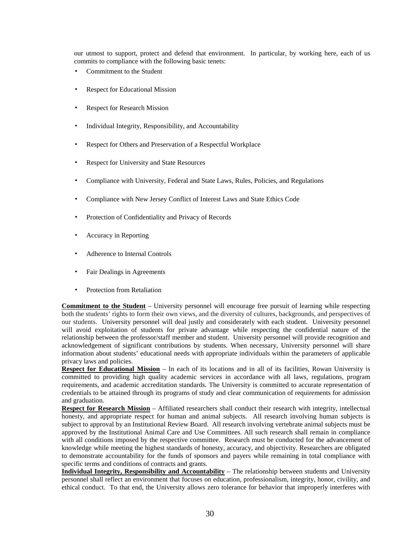our utmost to support, protect and defend that environment. In particular, by working here, each of us commits to compliance with the following basic tenets:

- Commitment to the Student
- **Respect for Educational Mission**
- **Respect for Research Mission**
- Individual Integrity, Responsibility, and Accountability
- Respect for Others and Preservation of a Respectful Workplace
- **Respect for University and State Resources**
- Compliance with University, Federal and State Laws, Rules, Policies, and Regulations
- Compliance with New Jersey Conflict of Interest Laws and State Ethics Code
- Protection of Confidentiality and Privacy of Records
- Accuracy in Reporting
- Adherence to Internal Controls
- **Fair Dealings in Agreements**
- **Protection from Retaliation**

**Commitment to the Student** – University personnel will encourage free pursuit of learning while respecting both the students' rights to form their own views, and the diversity of cultures, backgrounds, and perspectives of our students. University personnel will deal justly and considerately with each student. University personnel will avoid exploitation of students for private advantage while respecting the confidential nature of the relationship between the professor/staff member and student. University personnel will provide recognition and acknowledgement of significant contributions by students. When necessary, University personnel will share information about students' educational needs with appropriate individuals within the parameters of applicable privacy laws and policies.

**Respect for Educational Mission** – In each of its locations and in all of its facilities, Rowan University is committed to providing high quality academic services in accordance with all laws, regulations, program requirements, and academic accreditation standards. The University is committed to accurate representation of credentials to be attained through its programs of study and clear communication of requirements for admission and graduation.

**Respect for Research Mission** – Affiliated researchers shall conduct their research with integrity, intellectual honesty, and appropriate respect for human and animal subjects. All research involving human subjects is subject to approval by an Institutional Review Board. All research involving vertebrate animal subjects must be approved by the Institutional Animal Care and Use Committees. All such research shall remain in compliance with all conditions imposed by the respective committee. Research must be conducted for the advancement of knowledge while meeting the highest standards of honesty, accuracy, and objectivity. Researchers are obligated to demonstrate accountability for the funds of sponsors and payers while remaining in total compliance with specific terms and conditions of contracts and grants.

**Individual Integrity, Responsibility and Accountability** – The relationship between students and University personnel shall reflect an environment that focuses on education, professionalism, integrity, honor, civility, and ethical conduct. To that end, the University allows zero tolerance for behavior that improperly interferes with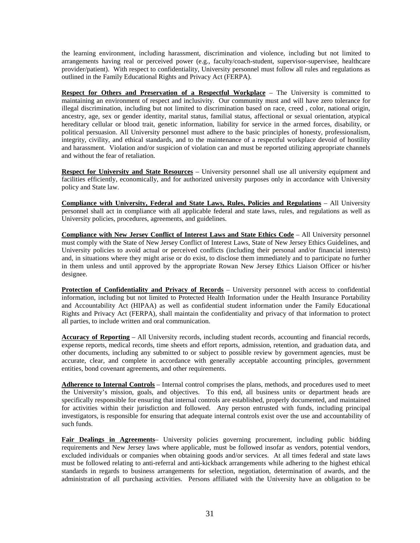the learning environment, including harassment, discrimination and violence, including but not limited to arrangements having real or perceived power (e.g., faculty/coach-student, supervisor-supervisee, healthcare provider/patient). With respect to confidentiality, University personnel must follow all rules and regulations as outlined in the Family Educational Rights and Privacy Act (FERPA).

**Respect for Others and Preservation of a Respectful Workplace** – The University is committed to maintaining an environment of respect and inclusivity. Our community must and will have zero tolerance for illegal discrimination, including but not limited to discrimination based on race, creed , color, national origin, ancestry, age, sex or gender identity, marital status, familial status, affectional or sexual orientation, atypical hereditary cellular or blood trait, genetic information, liability for service in the armed forces, disability, or political persuasion. All University personnel must adhere to the basic principles of honesty, professionalism, integrity, civility, and ethical standards, and to the maintenance of a respectful workplace devoid of hostility and harassment. Violation and/or suspicion of violation can and must be reported utilizing appropriate channels and without the fear of retaliation.

**Respect for University and State Resources** – University personnel shall use all university equipment and facilities efficiently, economically, and for authorized university purposes only in accordance with University policy and State law.

**Compliance with University, Federal and State Laws, Rules, Policies and Regulations** – All University personnel shall act in compliance with all applicable federal and state laws, rules, and regulations as well as University policies, procedures, agreements, and guidelines.

**Compliance with New Jersey Conflict of Interest Laws and State Ethics Code** – All University personnel must comply with the State of New Jersey Conflict of Interest Laws, State of New Jersey Ethics Guidelines, and University policies to avoid actual or perceived conflicts (including their personal and/or financial interests) and, in situations where they might arise or do exist, to disclose them immediately and to participate no further in them unless and until approved by the appropriate Rowan New Jersey Ethics Liaison Officer or his/her designee.

**Protection of Confidentiality and Privacy of Records** – University personnel with access to confidential information, including but not limited to Protected Health Information under the Health Insurance Portability and Accountability Act (HIPAA) as well as confidential student information under the Family Educational Rights and Privacy Act (FERPA), shall maintain the confidentiality and privacy of that information to protect all parties, to include written and oral communication.

**Accuracy of Reporting** – All University records, including student records, accounting and financial records, expense reports, medical records, time sheets and effort reports, admission, retention, and graduation data, and other documents, including any submitted to or subject to possible review by government agencies, must be accurate, clear, and complete in accordance with generally acceptable accounting principles, government entities, bond covenant agreements, and other requirements.

**Adherence to Internal Controls** – Internal control comprises the plans, methods, and procedures used to meet the University's mission, goals, and objectives. To this end, all business units or department heads are specifically responsible for ensuring that internal controls are established, properly documented, and maintained for activities within their jurisdiction and followed. Any person entrusted with funds, including principal investigators, is responsible for ensuring that adequate internal controls exist over the use and accountability of such funds.

**Fair Dealings in Agreements**– University policies governing procurement, including public bidding requirements and New Jersey laws where applicable, must be followed insofar as vendors, potential vendors, excluded individuals or companies when obtaining goods and/or services. At all times federal and state laws must be followed relating to anti-referral and anti-kickback arrangements while adhering to the highest ethical standards in regards to business arrangements for selection, negotiation, determination of awards, and the administration of all purchasing activities. Persons affiliated with the University have an obligation to be